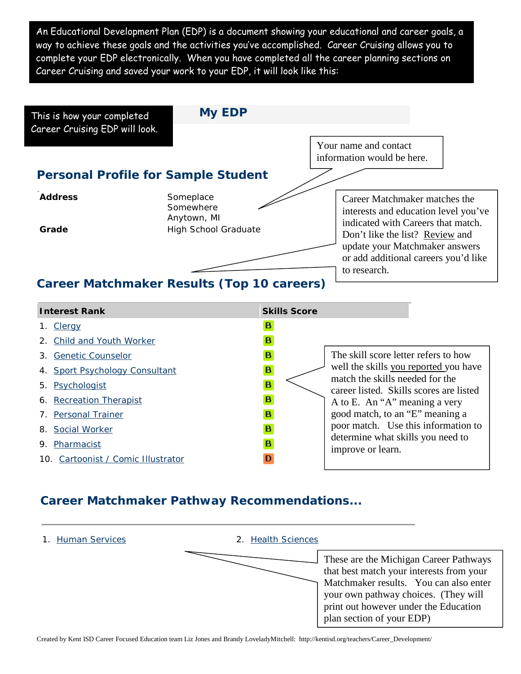An Educational Development Plan (EDP) is a document showing your educational and career goals, a way to achieve these goals and the activities you've accomplished. Career Cruising allows you to complete your EDP electronically. When you have completed all the career planning sections on Career Cruising and saved your work to your EDP, it will look like this:



#### **Interest Rank Skills Score Skills Score B** 1. [Clergy](https://www.careercruising.com/Careers/Suitable4U.aspx?Portfolioid=2204599&LoginID=56448802-01CC-4058-A8D9-2AFD6903FF35-&OccNumber=98&MM=1)  $\mathbf{B}$ 2. [Child and Youth Worker](https://www.careercruising.com/Careers/Suitable4U.aspx?Portfolioid=2204599&LoginID=56448802-01CC-4058-A8D9-2AFD6903FF35-&OccNumber=90&MM=1) 3. [Genetic Counselor](https://www.careercruising.com/Careers/Suitable4U.aspx?Portfolioid=2204599&LoginID=56448802-01CC-4058-A8D9-2AFD6903FF35-&OccNumber=521&MM=1)  $\mathbf{B}$ The skill score letter refers to how well the skills you reported you have 4. [Sport Psychology Consultant](https://www.careercruising.com/Careers/Suitable4U.aspx?Portfolioid=2204599&LoginID=56448802-01CC-4058-A8D9-2AFD6903FF35-&OccNumber=548&MM=1)  $\mathbf{B}$ match the skills needed for the 5. [Psychologist](https://www.careercruising.com/Careers/Suitable4U.aspx?Portfolioid=2204599&LoginID=56448802-01CC-4058-A8D9-2AFD6903FF35-&OccNumber=357&MM=1) B career listed. Skills scores are listed B 6. [Recreation Therapist](https://www.careercruising.com/Careers/Suitable4U.aspx?Portfolioid=2204599&LoginID=56448802-01CC-4058-A8D9-2AFD6903FF35-&OccNumber=370&MM=1) A to E. An "A" meaning a very good match, to an "E" meaning a B 7. [Personal Trainer](https://www.careercruising.com/Careers/Suitable4U.aspx?Portfolioid=2204599&LoginID=56448802-01CC-4058-A8D9-2AFD6903FF35-&OccNumber=323&MM=1) poor match. Use this information to 8. [Social Worker](https://www.careercruising.com/Careers/Suitable4U.aspx?Portfolioid=2204599&LoginID=56448802-01CC-4058-A8D9-2AFD6903FF35-&OccNumber=396&MM=1) B. determine what skills you need to 9. [Pharmacist](https://www.careercruising.com/Careers/Suitable4U.aspx?Portfolioid=2204599&LoginID=56448802-01CC-4058-A8D9-2AFD6903FF35-&OccNumber=326&MM=1)  $\mathbf{B}$ improve or learn. 10. [Cartoonist / Comic Illustrator](https://www.careercruising.com/Careers/Suitable4U.aspx?Portfolioid=2204599&LoginID=56448802-01CC-4058-A8D9-2AFD6903FF35-&OccNumber=79&MM=1) D

### **Career Matchmaker Pathway Recommendations...**

#### 1. [Human Services](https://www.careercruising.com/MatchMaker/k_list_matched.aspx?Portfolioid=2204599&LoginID=56448802-01CC-4058-A8D9-2AFD6903FF35-&ClusterCode=5&TOWPosition=0) 2. [Health Sciences](https://www.careercruising.com/MatchMaker/k_list_matched.aspx?Portfolioid=2204599&LoginID=56448802-01CC-4058-A8D9-2AFD6903FF35-&ClusterCode=4&TOWPosition=0)

These are the Michigan Career Pathways that best match your interests from your Matchmaker results. You can also enter your own pathway choices. (They will print out however under the Education plan section of your EDP)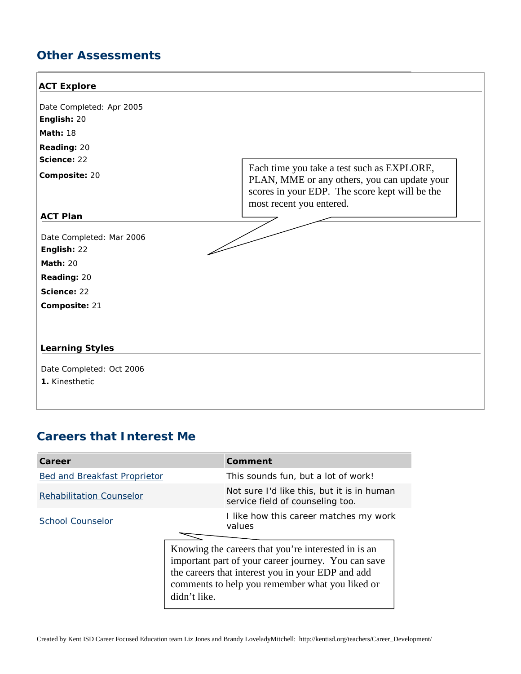## **Other Assessments**

#### **ACT Explore**

| Date Completed: Apr 2005 |
|--------------------------|
| <b>English: 20</b>       |
| <b>Math: 18</b>          |
| <b>Reading: 20</b>       |
| Science: 22              |
| Composite: 20            |

Each time you take a test such as EXPLORE, PLAN, MME or any others, you can update your scores in your EDP. The score kept will be the most recent you entered.

### **ACT Plan**

T

Date Completed: Mar 2006 **English:** 22 **Math:** 20 **Reading:** 20 **Science:** 22 **Composite:** 21

### **Learning Styles**

Date Completed: Oct 2006 **1.** Kinesthetic

### **Careers that Interest Me**

| Career                              |                                                                                                                                                                                                                                    | Comment                                                                        |  |
|-------------------------------------|------------------------------------------------------------------------------------------------------------------------------------------------------------------------------------------------------------------------------------|--------------------------------------------------------------------------------|--|
| <b>Bed and Breakfast Proprietor</b> |                                                                                                                                                                                                                                    | This sounds fun, but a lot of work!                                            |  |
| <b>Rehabilitation Counselor</b>     |                                                                                                                                                                                                                                    | Not sure I'd like this, but it is in human<br>service field of counseling too. |  |
| School Counselor                    |                                                                                                                                                                                                                                    | I like how this career matches my work<br>values                               |  |
|                                     | Knowing the careers that you're interested in is an<br>important part of your career journey. You can save<br>the careers that interest you in your EDP and add<br>comments to help you remember what you liked or<br>didn't like. |                                                                                |  |

 $\overline{\phantom{a}}$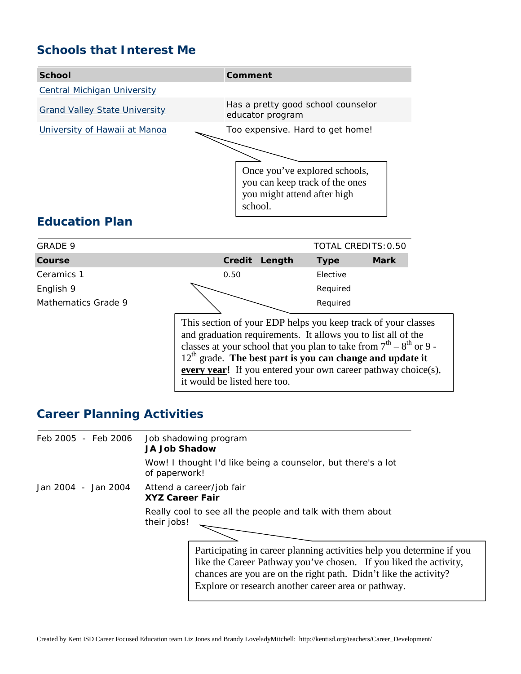# **Schools that Interest Me**



# **Education Plan**

| GRADE 9             | TOTAL CREDITS: 0.50                                                                                                                                                                                                                                                                                                                                                           |        |             |             |  |
|---------------------|-------------------------------------------------------------------------------------------------------------------------------------------------------------------------------------------------------------------------------------------------------------------------------------------------------------------------------------------------------------------------------|--------|-------------|-------------|--|
| Course              | Credit                                                                                                                                                                                                                                                                                                                                                                        | Length | <b>Type</b> | <b>Mark</b> |  |
| Ceramics 1          | 0.50                                                                                                                                                                                                                                                                                                                                                                          |        | Elective    |             |  |
| English 9           |                                                                                                                                                                                                                                                                                                                                                                               |        | Required    |             |  |
| Mathematics Grade 9 |                                                                                                                                                                                                                                                                                                                                                                               |        |             |             |  |
|                     | This section of your EDP helps you keep track of your classes<br>and graduation requirements. It allows you to list all of the<br>classes at your school that you plan to take from $7th - 8th$ or 9 -<br>$12th$ grade. The best part is you can change and update it<br><b>every year!</b> If you entered your own career pathway choice(s),<br>it would be listed here too. |        |             |             |  |

# **Career Planning Activities**

| Feb 2005 - Feb 2006 | Job shadowing program<br><b>JA Job Shadow</b>                                                                                                                                                                                                                         |  |  |
|---------------------|-----------------------------------------------------------------------------------------------------------------------------------------------------------------------------------------------------------------------------------------------------------------------|--|--|
|                     | Wow! I thought I'd like being a counselor, but there's a lot<br>of paperwork!                                                                                                                                                                                         |  |  |
| Jan 2004 - Jan 2004 | Attend a career/job fair<br><b>XYZ Career Fair</b>                                                                                                                                                                                                                    |  |  |
|                     | Really cool to see all the people and talk with them about<br>their jobs!                                                                                                                                                                                             |  |  |
|                     | Participating in career planning activities help you determine if you<br>like the Career Pathway you've chosen. If you liked the activity,<br>chances are you are on the right path. Didn't like the activity?<br>Explore or research another career area or pathway. |  |  |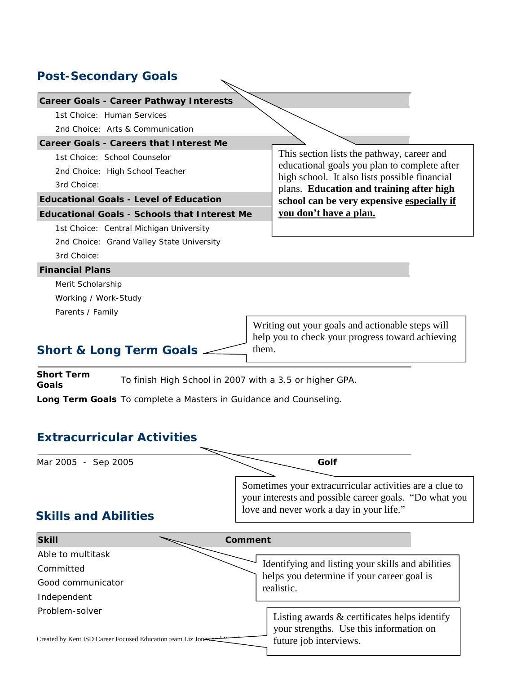# **Post-Secondary Goals**

| <b>Career Goals - Career Pathway Interests</b>                                                                                                                    |         |                                                                                                                                                               |  |  |
|-------------------------------------------------------------------------------------------------------------------------------------------------------------------|---------|---------------------------------------------------------------------------------------------------------------------------------------------------------------|--|--|
| 1st Choice: Human Services                                                                                                                                        |         |                                                                                                                                                               |  |  |
| 2nd Choice: Arts & Communication                                                                                                                                  |         |                                                                                                                                                               |  |  |
| <b>Career Goals - Careers that Interest Me</b>                                                                                                                    |         |                                                                                                                                                               |  |  |
| 1st Choice: School Counselor                                                                                                                                      |         | This section lists the pathway, career and                                                                                                                    |  |  |
| 2nd Choice: High School Teacher                                                                                                                                   |         | educational goals you plan to complete after<br>high school. It also lists possible financial                                                                 |  |  |
| 3rd Choice:                                                                                                                                                       |         | plans. Education and training after high                                                                                                                      |  |  |
| <b>Educational Goals - Level of Education</b>                                                                                                                     |         | school can be very expensive especially if                                                                                                                    |  |  |
| <b>Educational Goals - Schools that Interest Me</b>                                                                                                               |         | you don't have a plan.                                                                                                                                        |  |  |
| 1st Choice: Central Michigan University                                                                                                                           |         |                                                                                                                                                               |  |  |
| 2nd Choice: Grand Valley State University                                                                                                                         |         |                                                                                                                                                               |  |  |
| 3rd Choice:                                                                                                                                                       |         |                                                                                                                                                               |  |  |
| <b>Financial Plans</b>                                                                                                                                            |         |                                                                                                                                                               |  |  |
| Merit Scholarship                                                                                                                                                 |         |                                                                                                                                                               |  |  |
| Working / Work-Study                                                                                                                                              |         |                                                                                                                                                               |  |  |
| Parents / Family                                                                                                                                                  |         |                                                                                                                                                               |  |  |
|                                                                                                                                                                   |         | Writing out your goals and actionable steps will                                                                                                              |  |  |
|                                                                                                                                                                   |         | help you to check your progress toward achieving                                                                                                              |  |  |
| Short & Long Term Goals.                                                                                                                                          | them.   |                                                                                                                                                               |  |  |
| <b>Short Term</b><br>To finish High School in 2007 with a 3.5 or higher GPA.<br>Goals<br><b>Long Term Goals</b> To complete a Masters in Guidance and Counseling. |         |                                                                                                                                                               |  |  |
| <b>Extracurricular Activities</b>                                                                                                                                 |         |                                                                                                                                                               |  |  |
| Mar 2005 - Sep 2005                                                                                                                                               |         | Golf                                                                                                                                                          |  |  |
| <b>Skills and Abilities</b>                                                                                                                                       |         | Sometimes your extracurricular activities are a clue to<br>your interests and possible career goals. "Do what you<br>love and never work a day in your life." |  |  |
| <b>Skill</b>                                                                                                                                                      | Comment |                                                                                                                                                               |  |  |
| Able to multitask                                                                                                                                                 |         |                                                                                                                                                               |  |  |
| Committed                                                                                                                                                         |         | Identifying and listing your skills and abilities                                                                                                             |  |  |
| Good communicator                                                                                                                                                 |         | helps you determine if your career goal is                                                                                                                    |  |  |
| Independent                                                                                                                                                       |         | realistic.                                                                                                                                                    |  |  |
| Problem-solver                                                                                                                                                    |         | Listing awards $&$ certificates helps identify<br>your strengths. Use this information on                                                                     |  |  |
| Created by Kent ISD Career Focused Education team Liz Jones                                                                                                       |         | future job interviews.                                                                                                                                        |  |  |